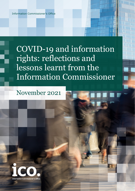Information Commissioner's Office

COVID-19 and information rights: reflections and lessons learnt from the Information Commissioner

# November 2021

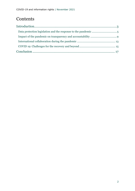## **Contents**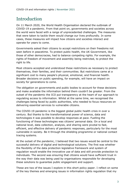### <span id="page-2-0"></span>Introduction

On 11 March 2020, the World Health Organisation declared the outbreak of COVID-19 a pandemic. From that point on, governments and societies across the world were faced with a range of unprecedented challenges. The measures that were taken to tackle them would change our lives profoundly. In some cases, these measures will impact how citizens and societies interact and operate for years to come.

Governments asked their citizens to accept restrictions on their freedoms not seen before in peacetime. To protect public health, the UK Government, like those of other democracies, had to balance competing rights. For example, the rights of freedom of movement and assembly being restricted, to protect the right to life.

Most citizens accepted and understood these restrictions as necessary to protect themselves, their families, and their communities. But restrictions came at a significant cost to many people's physical, emotional, and financial health. Broader decisions on public spending, for example, will have an impact on society for generations to come.

The obligation on governments and public bodies to account for these decisions and make available the information behind them couldn't be greater. From the outset of the pandemic the ICO put transparency at the heart of our approach to regulating access to information. Whilst at the same time, we recognised the challenges being faced by public authorities, who needed to focus resources on delivering essential services to vulnerable citizens.

The COVID-19 pandemic is the biggest global public health crisis in over a century. But thanks to the transformational power of science, data and technologies it was possible to develop responses at pace. Fuelling the functioning of these technologies was citizens' personal data. On a local and national level, data collection, analysis, and sharing were pivotal to fast, efficient, and effective delivery of pandemic responses, particularly for the most vulnerable in society. Be it through the shielding programme or national contact tracing systems.

At the outset of the pandemic, I believed that two issues would be central to the successful delivery of digital and technological solutions. The first was whether the flexibility of the data protection legislative framework and system of regulation would enable the innovative use of data and still provide protection to individuals. The second was ensuring that citizens would have sufficient trust in the way their data was being used by organisations responsible for developing these solutions to guarantee public engagement and support.

These are two of the issues I explore in this short policy paper. I reflect on some of the key themes and emerging issues in information rights regulation that my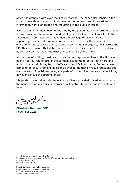office has grappled with over the last 18 months. The paper also considers the impact these developments might have on the domestic and international information rights landscape and regulating in the public interest.

Few aspects of life have been untouched by the pandemic. The efforts to combat it have drawn on the resources and intelligence of all sectors of society. As the Information Commissioner, I have had the privilege of playing a part in supporting these efforts. As we continue our recovery for the pandemic, my office continues to advise and support governments and organisations across the UK. This is to ensure that data can be used to deliver innovative, needs-driven public services that have the trust and confidence of the public.

At the time of writing, most restrictions on our day-to-day lives in the UK have been lifted, but the effects of the pandemic continue to be felt both here and around the world. As my term of office as the UK's Information Commissioner comes to an end, it remains as clear as ever to me that privacy protections and transparency of decision-making are parts of modern life that we must not lose, however difficult the circumstances.

I hope this paper, alongside the evidence I have provided to Parliament<sup>[1](#page-3-0)</sup> during the pandemic on my office's approach, will contribute to the public debate and record.

**Elizabeth Denham CBE** November 2021

<span id="page-3-0"></span><sup>1</sup> Joint Committee on Human Rights The Government's response to Covid-19: human rights implications Elizabeth Denham Monday 4 May 2020

Select Committee on Public Services Public services: lessons from coronavirus Elizabeth Denham & Steve Wood Wednesday 22 July 2020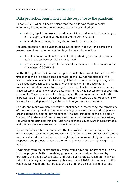#### <span id="page-4-0"></span>Data protection legislation and the response to the pandemic

In early 2020, when it became clear that the world was facing a health emergency like no other, governments began to ask whether:

- existing legal frameworks would be sufficient to deal with the challenges of managing a global pandemic in the modern era; and
- any additional emergency legislation would be necessary.

For data protection, the question being asked both in the UK and across the western world was whether existing legal frameworks would be:

- flexible enough to allow for the collection, sharing and use of personal data in the delivery of vital services; and
- not present legal barriers to the use of tech innovation to respond to the challenges of COVID-19.

As the UK regulator for information rights, I make two broad observations. The first is that the principles-based approach of the law had the flexibility we needed, when we needed it. As the regulator, I was able to apply a pragmatic risk-based approach to overcome any challenges within the legislative framework. We didn't need to change the law to allow for nationwide test and trace systems, or to allow for the data sharing that was necessary to support the vulnerable. These key principles also provided the safeguards the public still expected to be in place – transparency, fairness, necessity, and proportionality – backed by an independent regulator to hold organisations to account.

This doesn't mean we didn't encounter challenges in interpreting the complexity of the law, when providing the necessary regulatory assurance and support to organisations developing key responses. The interpretation of the principle of "necessity" in the use of temperature testing by businesses and organisations, required some complex thinking. But none of these issues were insurmountable and the law therefore worked as it was intended to.

My second observation is that where the law works best – or perhaps where organisations best understood the law - was where people's privacy expectations were considered front and centre through the development of digitally-enabled responses and projects. This was a time for privacy protection by design – in practice.

I was clear from the outset that my office would have an important role to play in those projects. Both by enabling progress that can help society and by protecting the people whose data, and trust, such projects relied on. This was set out in my regulatory approach published in April [2](#page-4-1)020<sup>2</sup>. At the heart of this was how we would put into practice the ex-ante and ex-poste or end-to-end

<span id="page-4-1"></span><sup>&</sup>lt;sup>2</sup> [How we will regulate during coronavirus | ICO](https://ico.org.uk/global/data-protection-and-coronavirus-information-hub/how-we-will-regulate-during-coronavirus/)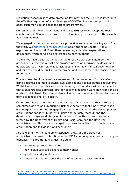regulation responsibilities data protection law provides me. This was integral to the effective regulation of a whole range of COVID-19 responses, proximity apps, customer logs and test and trace programmes.

Our engagement with the England and Wales NHS COVID-19 App and their counterparts in Scotland and Northern Ireland is a good example of the ex-ante approach we took.

We engaged in discussions about data protection and contact tracing apps from the start. We [published a formal Opinion](https://ico.org.uk/media/about-the-ico/documents/2617653/apple-google-api-opinion-final-april-2020.pdf) about the joint Google – Apple exposure notification  $API<sup>3</sup>$  $API<sup>3</sup>$  $API<sup>3</sup>$  and then developing a detailed expectations document<sup>4</sup>, which served as a reference point throughout.

We did not have a seat at the design table, but we were consulted by the governments from the outset and provided advice on a privacy by design and default approach. Our role was to ask questions on how transparency, legality and fairness would be built-in to the project and prompt the right considerations to be made.

This also resulted in a valuable assessment of the protections for data when using decentralised mobile device level applications against centralised systems. Whilst I was clear that this was not a binary, good-bad discussion, the benefits that a decentralised approach offer for data minimisation were significant and as a driver public trust. There were also welcome contributions to these discussions from academics and civil society.

Central to this was the Data Protection Impact Assessment (DPIA). DPIAs are sometimes viewed as bureaucratic 'tick box' exercises that hinder rather than encourage innovation. But engaged early as a central tool in the design process, organisations can identify potential risks and mitigate those during the development stage (and lifecycle of the product). – This is how they were treated by the Department of Health and Social Care and the Devolved Administrations, This risk and mitigation process benefitted both the business or organisation and individuals and consumers.

In this element of the pandemic response, DHSC and the Devolved Administrations provided iterations of the DPIAs and responded constructively to feedback. This prompted changes, including:

- improved privacy information;
- how individuals could exercise their rights;
- greater security of data; and
- clearer information about the use of automated decision-making.

<span id="page-5-0"></span><sup>&</sup>lt;sup>3</sup> [Apple and Google joint initiative on COVID-19 contact tracing technology \(ico.org.uk\)](https://ico.org.uk/media/about-the-ico/documents/2617653/apple-google-api-opinion-final-april-2020.pdf)

<span id="page-5-1"></span><sup>4</sup> <https://ico.org.uk/media/for-organisations/documents/2617676/ico-contact-tracing-recommendations.pdf>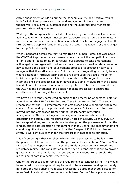Active engagement on DPIAs during the pandemic all yielded positive results both for individual privacy and trust and engagement in the schemes themselves. For example, customer logs and the supermarkets' vulnerable persons data-sharing scheme.

Working with an organisation as it develops its programme does not remove our ability to take formal action if necessary (ex-poste actions). And our regulatory role does not end once an innovation is launched. Our future engagement on the NHS COVID-19 app will focus on the data protection implications of any changes to the app's functionality.

When I appeared before the Joint Committee on Human Rights last year about the COVID-19 app, members expressed concern about the compatibility of our ex-ante and ex-poste roles. In particular, our appetite to take enforcement action against an organisation when we have previously provided data protection advice during the design and development process of a product or service. I recognise that theoretical concern. But the nature of regulating in the digital era, where potentially intrusive technologies are being used that could impact on individuals rights, means that it is not responsible for the regulator to only intervene once the product has been developed. Being involved from the outset is a vital part of our role as an enabler and protector. I have also ensured that the ICO has the governance and decision-making processes to ensure the effectiveness of both regulatory elements.

We have also recently completed an audit of the processing of personal data for administering the DHSC's NHS Test and Trace Programme (T&T). The audit recognises that the T&T Programme was established and is operating within the context of responding to a public health emergency. But also that it has now moved into the established framework of English health protection arrangements. This more long-term arrangement was considered whilst conducting the audit. I am reassured that UK Health Security Agency (UKHSA) has accepted all my recommendations to strengthen the governance of this, the largest, public data collection arrangement in many years. The recommendations contain significant and important actions that I expect UKHSA to implement swiftly. I will continue to monitor their progress in response to our audit.

It is of course right that we reflect whether there are lessons to be learnt from the pandemic. I therefore welcome the government's consultation "Data: A New Direction" as an opportunity to review the UK data protection framework and regulatory regime. The consultation makes several proposals that aim to provide greater clarity in the law for businesses and organisations. For example, the processing of data in a health emergency.

One of the proposals is to remove the requirement to conduct DPIAs. This would be replaced by a more general requirement to have assessed and appropriately mitigated the risks arising from data processing. I agree that there is scope for more flexibility about the form assessments take. But, as I have previously set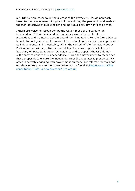out, DPIAs were essential in the success of the Privacy by Design approach taken to the development of digital solutions during the pandemic and enabled the twin objectives of public health and individuals privacy rights to be met.

I therefore welcome recognition by the Government of the value of an independent ICO. An independent regulator assures the public of their protections and maintains trust in data-driven innovation. For the future ICO to be able to hold government to account, it is vital its governance model preserves its independence and is workable, within the context of the framework set by Parliament and with effective accountability. The current proposals for the Secretary of State to approve ICO guidance and to appoint the CEO do not sufficiently safeguard this independence. I urge the Government to reconsider these proposals to ensure the independence of the regulator is preserved. My office is actively engaging with government on these law reform proposals and our detailed response to the consultation can be found at Response to DCMS [consultation "Data: a new direction" \(ico.org.uk\).](https://ico.org.uk/media/about-the-ico/consultation-responses/4018588/dcms-consultation-response-20211006.pdf)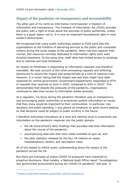#### <span id="page-8-0"></span>Impact of the pandemic on transparency and accountability

The other part of my remit as Information Commissioner is freedom of information and transparency. The Freedom of Information Act (FOIA) provides the public with a right to know about the activities of public authorities, unless there is a good reason not to. It is now an important foundational right in most western democracies.

We recognised that many public authorities subject to FOIA were also the organisations at the frontline of delivering services to the public and vulnerable citizens during the acute stages of the pandemic. Many had less capacity than normal, and resources normally dedicated to information rights work were diverted elsewhere. At the same time, staff often had limited access to buildings due to national and local lockdowns.

An impact on timeliness in responding to information requests was therefore inevitable. We took account of this when processing requests and enforcing disclosures to ensure the impact was proportionate at a time of national crisis. However, it is worth noting that the impact was less than might have been expected for central government. Government Departments responded to 87% of requests they received on time in 2020, compared to 93% in 2019[5.](#page-8-1) This demonstrates that despite the pressures of the pandemic, organisations continued to take their access to information duties seriously.

As a regulator, my focus during the pandemic therefore was on transparency and encouraging public authorities to proactively publish information on issues that they knew would be important to their communities. In particular, key decisions and public spending. I also placed an emphasis on good record keeping so that decisions could be subject to public scrutiny in the future.

I therefore welcomed innovations at a local and national level to proactively put information on the pandemic response into the public domain:

- the UK Government's daily briefings that provided real-time information about the course of the pandemic;
- accompanying data sets that were made available on gov.uk; and
- the daily statistics released by the four UK nations on cases, hospitalisations, deaths, and vaccination rates.

All of this helped to inform public understanding about the impact of the pandemic across the UK.

But there are examples of where COVID-19 pressures have impacted on proactive disclosure. Most notably, a National Audit Office report "Investigations into government procurement during the COVID-19 pandemic" last year. It

<span id="page-8-1"></span><sup>5</sup> [Freedom of Information statistics: annual 2020 -](https://www.gov.uk/government/statistics/freedom-of-information-statistics-annual-2020) GOV.UK (www.gov.uk)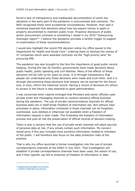found a lack of transparency and inadequate documentation of some key decisions in the early part of the pandemic in procurement and contracts. The NAO recognised these were exceptional circumstances. However, they said it remained essential that decisions about how tax-payers money is spent is properly documented to maintain public trust. Proactive disclosure of public sector procurement contracts is something I raised in my 2019 "Outsourcing Oversight report"[6.](#page-9-0) I believe the pandemic provides a further trigger to support re-examination of these recommendations.

I would also highlight the recent FOI decision notice my office issued to the Department for Health and Social Care<sup>7</sup>, ordering them to disclose the names of 47 companies which were awarded contracts via the "high-priority lane" for procuring PPE.

The pandemic has also brought to the fore the importance of good public recordkeeping. During the last 20 months, governments have made decisions about public health, public spending and civil liberties. Many of the effects of these decisions will be with us for years to come. It is through transparency that people can understand why these decisions were made and trust them. And it is through documenting these decisions that lessons can be learned for the future and, in time, inform the historical record. Having a record of decisions for others to access in the future is also essential to good administration.

I was concerned when reports emerged that Ministers and senior officials used private email and messaging channels to conduct sensitive official business during the pandemic. The use of private communications channels for official business does not in itself break freedom of information law. But without clear processes in place, information contained in these channels can be forgotten, overlooked, auto-deleted or otherwise not available when a freedom of information request is later made. This frustrates the freedom of information process and puts at risk the preservation of official records of decision-making.

There is also a concern that the use of private email channels will place security of personal data at risk, if any emails contain such information. My concern would grow if this also included more sensitive information related to members of the public. I will therefore also focus on the data protection risks of the practice.

That is why my office launched a formal investigation into the use of private correspondence channels at the DHSC in July 2021. That investigation will establish if private correspondence channels have been used, the extent of use, and if their specific use led to breaches of freedom of information or data

<span id="page-9-0"></span><sup>6</sup> [outsourcing oversight \(ico.org.uk\)](https://ico.org.uk/media/about-the-ico/documents/2614204/outsourcing-oversight-ico-report-to-parliament.pdf)

<span id="page-9-1"></span><sup>7</sup> [ic-94513-n5h8.pdf \(ico.org.uk\)](https://ico.org.uk/media/action-weve-taken/decision-notices/2021/4018805/ic-94513-n5h8.pdf)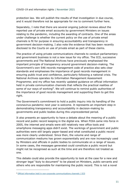protection law. We will publish the results of that investigation in due course, and it would therefore not be appropriate for me to comment further here.

Separately, I note that there are several ongoing judicial reviews about the reported use of private email accounts by government Ministers on issues relating to the pandemic, including the awarding of contracts. One of the areas under challenge is whether the current policy on the use of private email channels is fit for purpose in ensuring accountability and transparency in government decision-making. I also note the evidence that has been recently disclosed to the Courts on use of private email as part of these claims.

The practice of using private communications channels to conduct parliamentary and government business is not a new issue for my office. The ICO, successive governments and The National Archives have previously emphasised the important principle of transparency around government decision-making. The Government's own S46 records management code of practice also sets clear standards and emphasises the importance of good records management in ensuring public trust and confidence, particularly following a national crisis. The National Archives operates its Information Management Assessment Programme; and my office has recently updated guidance on official information held in private communication channels that reflects the practical realities of some of our ways of working<sup>8</sup>. We will continue to remind public authorities of the importance of good records management and supporting them to get this right.

The Government's commitment to hold a public inquiry into its handling of the coronavirus pandemic next year is welcome. It represents an important step in demonstrating transparency and accountability in decision-making by governments and public bodies during this unprecedented period.

It also presents an opportunity to have a debate about the meaning of a public record and public record keeping in the digital era. When FOIA came into force in 2005, the internet and emails were still relatively new office tools and smartphone messaging apps didn't exist. The workings of government and public authorities were still largely paper-based and what constituted a public record was more clearly understood. Since then, the volume and range of communication mediums has grown exponentially and are now increasingly used by Ministers and officials in public bodies to communicate on a range of issues. In some cases, the messages generated could constitute a public record but might not be recognised as such at the time and are therefore not treated as one.

This debate could also provide the opportunity to look at the case for a new and stronger legal "duty to document" to be placed on Ministers, public servants and others who are responsible for maintaining the public record. This is not a novel

<span id="page-10-0"></span><sup>8</sup> [Official information held in non-corporate communications channels | ICO](https://ico.org.uk/for-organisations/official-information-held-in-non-corporate-communications-channels/)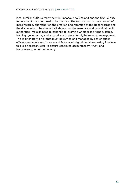idea. Similar duties already exist in Canada, New Zealand and the USA. A duty to document does not need to be onerous. The focus is not on the creation of more records, but rather on the creation and retention of the right records and the documents to be created will depend on the mandate and individual public authorities. We also need to continue to examine whether the right systems, training, governance, and support are in place for digital records management. This is ultimately a risk that must be owned and managed by senior public officials and ministers. In an era of fast-paced digital decision-making I believe this is a necessary step to ensure continued accountability, trust, and transparency in our democracy.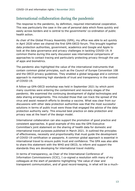#### <span id="page-12-0"></span>International collaboration during the pandemic

The response to the pandemic, by definition, required international cooperation. This was particularly the case in the use of personal data which flows quickly and easily across borders and is central to the governments' co-ordination of public health action.

As chair of the Global Privacy Assembly (GPA), my office was able to act quickly in April 2020 when we chaired the first GPA-OECD forum. This brought together data protection authorities, government, academics and Google and Apple to look at the data governance and privacy challenges in tackling COVID-19. A common theme during this early discussion was international comparisons of approaches to contact tracing and particularly protecting privacy through the use of apps and biometrics.

The pandemic also highlighted the value of the international instruments that contain common global principles, such as the Council of Europe Convention 108 and the OECD privacy guidelines. They enabled a global language and a common approach to maintaining high standards of trust and transparency in the context of COVID-19.

A follow-up GPA-OECD workshop was held in September 2021 by which point many countries were entering the containment and recovery stages of the pandemic. We examined the continuing development of digital technologies and data sharing arrangements. This included those that can track the spread of the virus and assist research efforts to develop a vaccine. What was clear from our discussions with other data protection authorities was that the most successful solutions in terms of public trust were those that engaged the advice of the data protection authority early. This ensured best practice on data protection and privacy was at the heart of the design model.

International collaboration can also support the promotion of good practice and consistent approaches. A good example of this was the GPA Executive Committee's joint statement on the sharing of health data for domestic and international travel purposes published in March 2021. It outlined the principles of effectiveness, necessity and proportionality that must guide the development of COVID-19 certification or passports. A common global approach is essential in international travel to ensure public trust and confidence. The GPA was also able to share this statement with the WHO and OECD, to inform and support the standards they are developing for international travel mobility.

In terms of transparency, as Chair of the International Conference of Information Commissioners (ICIC), I co-signed a resolution with many of my colleagues at the start of pandemic highlighting "the value of clear and transparent communication, and of good record-keeping, in what will be a much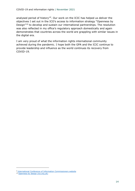analysed period of history"[9.](#page-13-0) Our work on the ICIC has helped us deliver the objectives I set out in the ICO's access to information strategy "Openness by Design"[10](#page-13-1) to develop and sustain our international partnerships. The resolution was also reflected in my office's regulatory approach domestically and again demonstrates that countries across the world are grappling with similar issues in the digital era.

I am very proud of what the information rights international community achieved during the pandemic. I hope both the GPA and the ICIC continue to provide leadership and influence as the world continues its recovery from COVID-19.

<span id="page-13-0"></span><sup>&</sup>lt;sup>9</sup> [International Conference of Information Commissioners website](https://www.informationcommissioners.org/covid-19)

<span id="page-13-1"></span><sup>&</sup>lt;sup>10</sup> [Openness by design \(ico.org.uk\)](https://ico.org.uk/media/about-the-ico/documents/2615190/openness_by_-design_strategy_201906.pdf)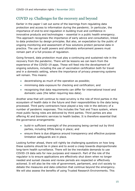#### <span id="page-14-0"></span>COVID 19: Challenges for the recovery and beyond

Earlier in the paper I set out some of the learnings from regulating data protection and access to information during the pandemic. In particular, the importance of end-to-end regulation in building trust and confidence in innovative products and technologies – essential in a public health emergency. This approach recognises the importance of early advice and consultation, linked to data protection by design principles. But also, an expectation by the public of ongoing monitoring and assessment of how solutions protect personal data in practice. The use of audit powers and ultimately enforcement powers must remain part of a full process of regulation.

Going forward, data protection must play a continuing and sustained role in the recovery from the pandemic. There will be lessons we can learn from the experience of the COVID-19 apps. These will feed into the development of ongoing solutions, including the use of vaccination certification both for travel and in a domestic setting, where the importance of privacy preserving systems will remain. This means:

- decentralising as much of the operation as possible;
- minimising data exposure for checking and certification; and
- recognising that data requirements can differ for international travel and domestic uses (the latter requiring less data).

Another area that will continue to need scrutiny is the role of third parties in the ecosystem of health data in the future and their responsibilities to the data being processed. Third party contractors have played a key role in the delivery of a number of pandemic responses. This includes the Test and Trace system, where most public facing roles are delivered by third parties. Third parties are also offering AI and biometric services to health bodies. It is therefore essential that the governance arrangements:

- build-in sufficient oversight of the processing being carried out by third parties, including DPIAs being in place; and
- ensure there is due diligence around transparency and effective purpose limitation safeguards are in place.

Looking further ahead, there will rightly be challenging questions on how long these systems should be in place and to avoid a creep towards disproportionate long-term health surveillance. There will be the inevitable demands to use COVID-19 data sets for new purposes and research. Part of the role of the regulator is to ensure applications are effectively shut down when no longer needed and sunset clauses and review periods are respected or effectively actioned. It will also be the role of government, parliament, and civil society to debate the measures and data collection that continue beyond the emergency. We will also assess the benefits of using Trusted Research Environments. This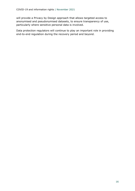will provide a Privacy by Design approach that allows targeted access to anonymised and pseudonymised datasets, to ensure transparency of use, particularly where sensitive personal data is involved.

Data protection regulators will continue to play an important role in providing end-to-end regulation during the recovery period and beyond.